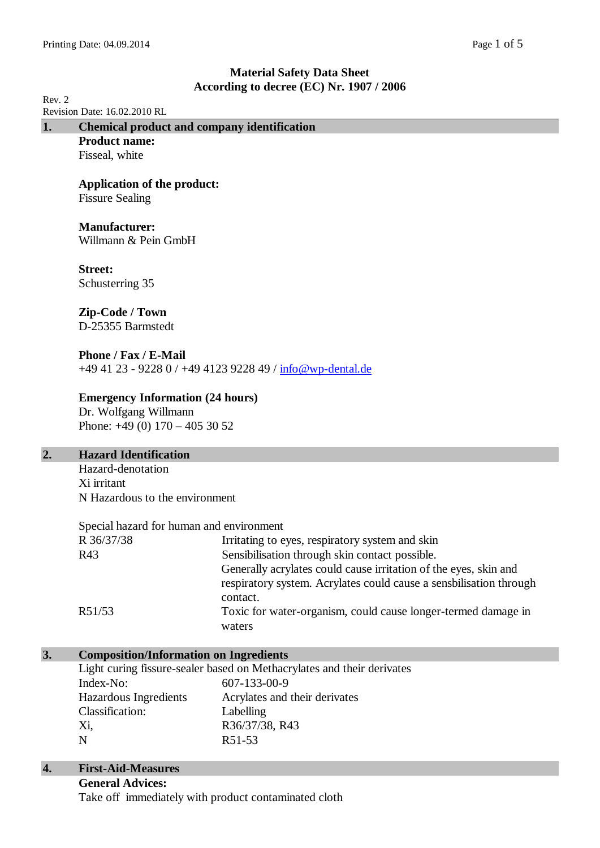| Rev. 2                    |                                                                            | According to decree (EC) Nr. 1907 / 2000                               |  |
|---------------------------|----------------------------------------------------------------------------|------------------------------------------------------------------------|--|
|                           | Revision Date: 16.02.2010 RL                                               |                                                                        |  |
| 1.                        | <b>Chemical product and company identification</b><br><b>Product name:</b> |                                                                        |  |
|                           | Fisseal, white                                                             |                                                                        |  |
|                           |                                                                            |                                                                        |  |
|                           | <b>Application of the product:</b>                                         |                                                                        |  |
|                           | <b>Fissure Sealing</b>                                                     |                                                                        |  |
|                           |                                                                            |                                                                        |  |
|                           | <b>Manufacturer:</b>                                                       |                                                                        |  |
|                           | Willmann & Pein GmbH                                                       |                                                                        |  |
|                           | <b>Street:</b>                                                             |                                                                        |  |
|                           | Schusterring 35                                                            |                                                                        |  |
|                           |                                                                            |                                                                        |  |
|                           | Zip-Code / Town                                                            |                                                                        |  |
|                           | D-25355 Barmstedt                                                          |                                                                        |  |
|                           |                                                                            |                                                                        |  |
|                           | Phone / Fax / E-Mail                                                       |                                                                        |  |
|                           |                                                                            | +49 41 23 - 9228 0 / +49 4123 9228 49 / info@wp-dental.de              |  |
|                           | <b>Emergency Information (24 hours)</b>                                    |                                                                        |  |
|                           | Dr. Wolfgang Willmann                                                      |                                                                        |  |
|                           | Phone: $+49(0) 170 - 405 30 52$                                            |                                                                        |  |
|                           |                                                                            |                                                                        |  |
| $\overline{2}$ .          | <b>Hazard Identification</b>                                               |                                                                        |  |
|                           | Hazard-denotation                                                          |                                                                        |  |
|                           | Xi irritant                                                                |                                                                        |  |
|                           | N Hazardous to the environment                                             |                                                                        |  |
|                           | Special hazard for human and environment                                   |                                                                        |  |
|                           |                                                                            | R 36/37/38 Irritating to eyes, respiratory system and skin             |  |
|                           | R43                                                                        | Sensibilisation through skin contact possible.                         |  |
|                           |                                                                            | Generally acrylates could cause irritation of the eyes, skin and       |  |
|                           |                                                                            | respiratory system. Acrylates could cause a sensbilisation through     |  |
|                           |                                                                            | contact.                                                               |  |
|                           | R51/53                                                                     | Toxic for water-organism, could cause longer-termed damage in          |  |
|                           |                                                                            | waters                                                                 |  |
| 3.                        |                                                                            |                                                                        |  |
|                           | <b>Composition/Information on Ingredients</b>                              | Light curing fissure-sealer based on Methacrylates and their derivates |  |
|                           | Index-No:                                                                  | 607-133-00-9                                                           |  |
|                           | Hazardous Ingredients                                                      | Acrylates and their derivates                                          |  |
|                           | Classification:                                                            | Labelling                                                              |  |
|                           | Xi,                                                                        | R36/37/38, R43                                                         |  |
|                           | $\mathbf N$                                                                | R51-53                                                                 |  |
| $\overline{\mathbf{4}}$ . | <b>First-Aid-Measures</b>                                                  |                                                                        |  |
|                           | <b>General Advices:</b>                                                    |                                                                        |  |
|                           | Take off immediately with product contaminated cloth                       |                                                                        |  |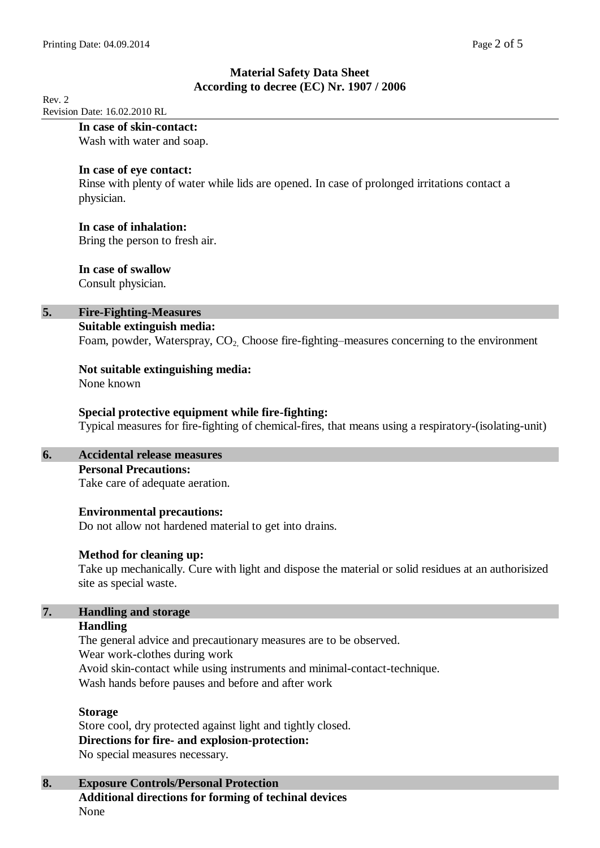Rev. 2 Revision Date: 16.02.2010 RL

## **In case of skin-contact:**

Wash with water and soap.

## **In case of eye contact:**

Rinse with plenty of water while lids are opened. In case of prolonged irritations contact a physician.

## **In case of inhalation:**

Bring the person to fresh air.

## **In case of swallow**

Consult physician.

## **5. Fire-Fighting-Measures**

### **Suitable extinguish media:**

Foam, powder, Waterspray,  $CO<sub>2</sub>$  Choose fire-fighting–measures concerning to the environment

# **Not suitable extinguishing media:**

None known

## **Special protective equipment while fire-fighting:**

Typical measures for fire-fighting of chemical-fires, that means using a respiratory-(isolating-unit)

## **6. Accidental release measures**

## **Personal Precautions:**

Take care of adequate aeration.

## **Environmental precautions:**

Do not allow not hardened material to get into drains.

## **Method for cleaning up:**

Take up mechanically. Cure with light and dispose the material or solid residues at an authorisized site as special waste.

#### **7. Handling and storage Handling**

The general advice and precautionary measures are to be observed. Wear work-clothes during work Avoid skin-contact while using instruments and minimal-contact-technique. Wash hands before pauses and before and after work

## **Storage**

Store cool, dry protected against light and tightly closed. **Directions for fire- and explosion-protection:** No special measures necessary.

## **8. Exposure Controls/Personal Protection Additional directions for forming of techinal devices** None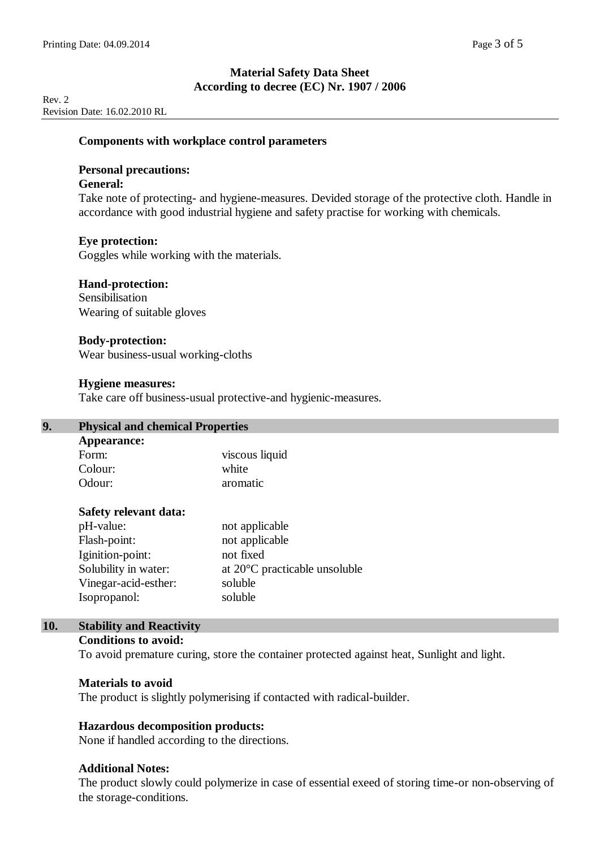Rev. 2 Revision Date: 16.02.2010 RL

#### **Components with workplace control parameters**

### **Personal precautions:**

### **General:**

Take note of protecting- and hygiene-measures. Devided storage of the protective cloth. Handle in accordance with good industrial hygiene and safety practise for working with chemicals.

### **Eye protection:**

Goggles while working with the materials.

### **Hand-protection:**

Sensibilisation Wearing of suitable gloves

#### **Body-protection:**

Wear business-usual working-cloths

#### **Hygiene measures:**

Take care off business-usual protective-and hygienic-measures.

## **9. Physical and chemical Properties**

| <b>Appearance:</b> |                |  |
|--------------------|----------------|--|
| Form:              | viscous liquid |  |
| Colour:            | white          |  |
| Odour:             | aromatic       |  |

### **Safety relevant data:**

| pH-value:            | not applicable                          |
|----------------------|-----------------------------------------|
| Flash-point:         | not applicable                          |
| Iginition-point:     | not fixed                               |
| Solubility in water: | at $20^{\circ}$ C practicable unsoluble |
| Vinegar-acid-esther: | soluble                                 |
| Isopropanol:         | soluble                                 |

### **10. Stability and Reactivity**

#### **Conditions to avoid:**

To avoid premature curing, store the container protected against heat, Sunlight and light.

#### **Materials to avoid**

The product is slightly polymerising if contacted with radical-builder.

### **Hazardous decomposition products:**

None if handled according to the directions.

### **Additional Notes:**

The product slowly could polymerize in case of essential exeed of storing time-or non-observing of the storage-conditions.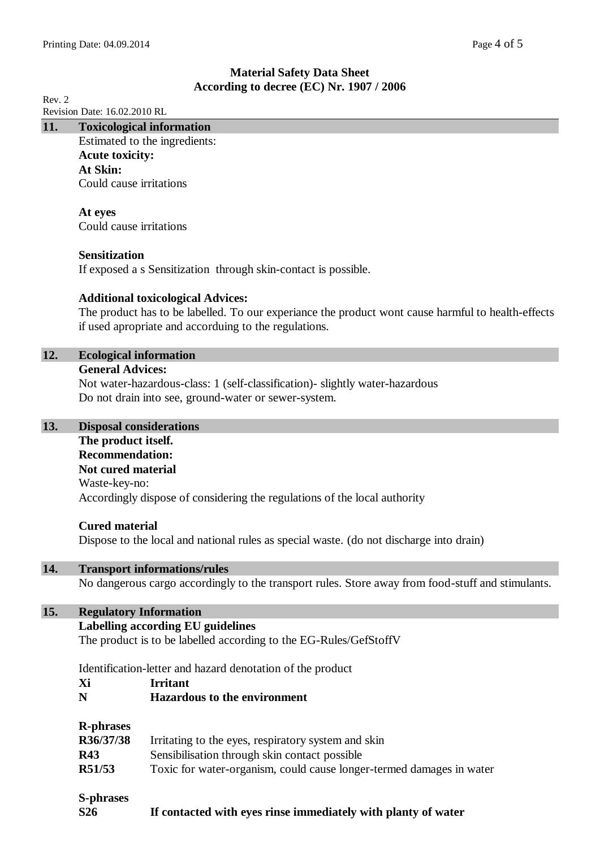Rev. 2 Revision Date: 16.02.2010 RL

| 11. | <b>Toxicological information</b> |  |
|-----|----------------------------------|--|
|     |                                  |  |

Estimated to the ingredients: **Acute toxicity: At Skin:** Could cause irritations

**At eyes** Could cause irritations

## **Sensitization**

If exposed a s Sensitization through skin-contact is possible.

## **Additional toxicological Advices:**

The product has to be labelled. To our experiance the product wont cause harmful to health-effects if used apropriate and accorduing to the regulations.

### **12. Ecological information**

#### **General Advices:**

Not water-hazardous-class: 1 (self-classification)- slightly water-hazardous Do not drain into see, ground-water or sewer-system.

## **13. Disposal considerations**

# **The product itself.**

**Recommendation: Not cured material** Waste-key-no: Accordingly dispose of considering the regulations of the local authority

### **Cured material**

Dispose to the local and national rules as special waste. (do not discharge into drain)

### **14. Transport informations/rules**

No dangerous cargo accordingly to the transport rules. Store away from food-stuff and stimulants.

## **15. Regulatory Information**

### **Labelling according EU guidelines**

The product is to be labelled according to the EG-Rules/GefStoffV

Identification-letter and hazard denotation of the product

- **Xi Irritant**
- **N Hazardous to the environment**

### **R-phrases**

| R36/37/38  | Irritating to the eyes, respiratory system and skin                  |
|------------|----------------------------------------------------------------------|
| <b>R43</b> | Sensibilisation through skin contact possible                        |
| R51/53     | Toxic for water-organism, could cause longer-termed damages in water |

# **S-phrases**

**S26 If contacted with eyes rinse immediately with planty of water**